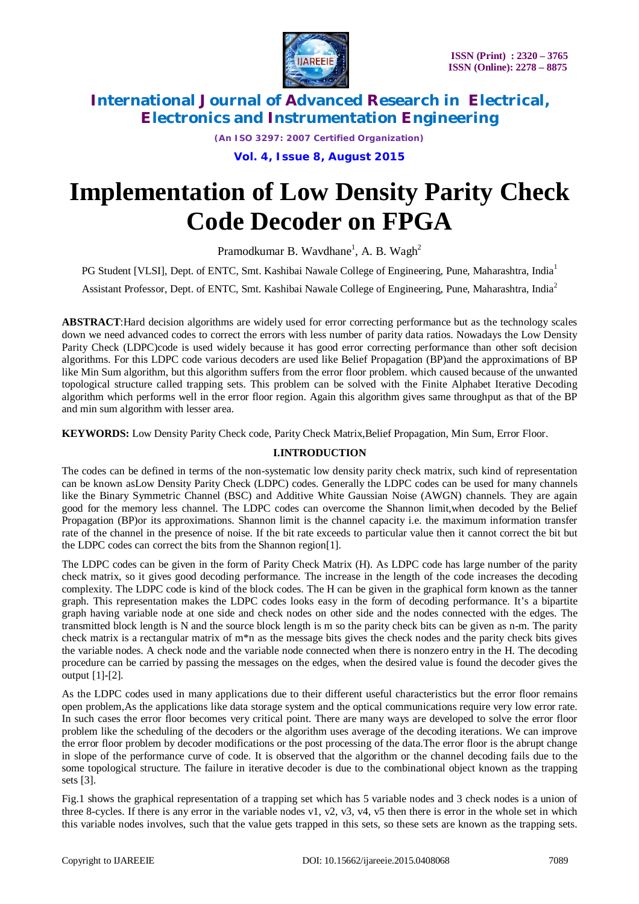

*(An ISO 3297: 2007 Certified Organization)*

**Vol. 4, Issue 8, August 2015**

# **Implementation of Low Density Parity Check Code Decoder on FPGA**

Pramodkumar B. Wavdhane<sup>1</sup>, A. B. Wagh<sup>2</sup>

PG Student [VLSI], Dept. of ENTC, Smt. Kashibai Nawale College of Engineering, Pune, Maharashtra, India<sup>1</sup>

Assistant Professor, Dept. of ENTC, Smt. Kashibai Nawale College of Engineering, Pune, Maharashtra, India<sup>2</sup>

**ABSTRACT**:Hard decision algorithms are widely used for error correcting performance but as the technology scales down we need advanced codes to correct the errors with less number of parity data ratios. Nowadays the Low Density Parity Check (LDPC)code is used widely because it has good error correcting performance than other soft decision algorithms. For this LDPC code various decoders are used like Belief Propagation (BP)and the approximations of BP like Min Sum algorithm, but this algorithm suffers from the error floor problem. which caused because of the unwanted topological structure called trapping sets. This problem can be solved with the Finite Alphabet Iterative Decoding algorithm which performs well in the error floor region. Again this algorithm gives same throughput as that of the BP and min sum algorithm with lesser area.

**KEYWORDS:** Low Density Parity Check code, Parity Check Matrix,Belief Propagation, Min Sum, Error Floor.

#### **I.INTRODUCTION**

The codes can be defined in terms of the non-systematic low density parity check matrix, such kind of representation can be known asLow Density Parity Check (LDPC) codes. Generally the LDPC codes can be used for many channels like the Binary Symmetric Channel (BSC) and Additive White Gaussian Noise (AWGN) channels. They are again good for the memory less channel. The LDPC codes can overcome the Shannon limit,when decoded by the Belief Propagation (BP)or its approximations. Shannon limit is the channel capacity i.e. the maximum information transfer rate of the channel in the presence of noise. If the bit rate exceeds to particular value then it cannot correct the bit but the LDPC codes can correct the bits from the Shannon region[1].

The LDPC codes can be given in the form of Parity Check Matrix (H). As LDPC code has large number of the parity check matrix, so it gives good decoding performance. The increase in the length of the code increases the decoding complexity. The LDPC code is kind of the block codes. The H can be given in the graphical form known as the tanner graph. This representation makes the LDPC codes looks easy in the form of decoding performance. It's a bipartite graph having variable node at one side and check nodes on other side and the nodes connected with the edges. The transmitted block length is N and the source block length is m so the parity check bits can be given as n-m. The parity check matrix is a rectangular matrix of m\*n as the message bits gives the check nodes and the parity check bits gives the variable nodes. A check node and the variable node connected when there is nonzero entry in the H. The decoding procedure can be carried by passing the messages on the edges, when the desired value is found the decoder gives the output [1]-[2].

As the LDPC codes used in many applications due to their different useful characteristics but the error floor remains open problem,As the applications like data storage system and the optical communications require very low error rate. In such cases the error floor becomes very critical point. There are many ways are developed to solve the error floor problem like the scheduling of the decoders or the algorithm uses average of the decoding iterations. We can improve the error floor problem by decoder modifications or the post processing of the data.The error floor is the abrupt change in slope of the performance curve of code. It is observed that the algorithm or the channel decoding fails due to the some topological structure. The failure in iterative decoder is due to the combinational object known as the trapping sets [3].

Fig.1 shows the graphical representation of a trapping set which has 5 variable nodes and 3 check nodes is a union of three 8-cycles. If there is any error in the variable nodes v1, v2, v3, v4, v5 then there is error in the whole set in which this variable nodes involves, such that the value gets trapped in this sets, so these sets are known as the trapping sets.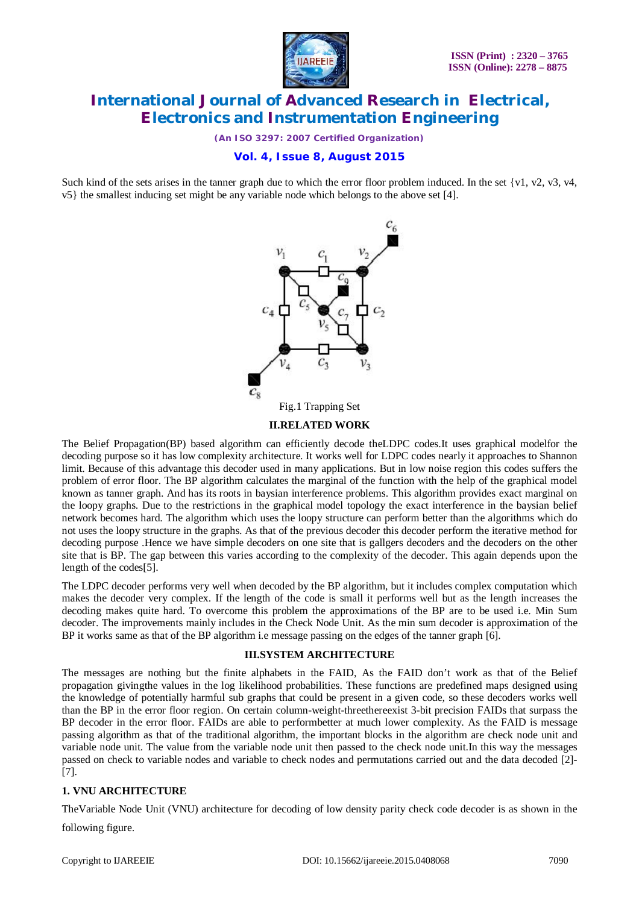

*(An ISO 3297: 2007 Certified Organization)*

### **Vol. 4, Issue 8, August 2015**

Such kind of the sets arises in the tanner graph due to which the error floor problem induced. In the set {v1, v2, v3, v4, v5} the smallest inducing set might be any variable node which belongs to the above set [4].



#### **II.RELATED WORK**

The Belief Propagation(BP) based algorithm can efficiently decode theLDPC codes.It uses graphical modelfor the decoding purpose so it has low complexity architecture. It works well for LDPC codes nearly it approaches to Shannon limit. Because of this advantage this decoder used in many applications. But in low noise region this codes suffers the problem of error floor. The BP algorithm calculates the marginal of the function with the help of the graphical model known as tanner graph. And has its roots in baysian interference problems. This algorithm provides exact marginal on the loopy graphs. Due to the restrictions in the graphical model topology the exact interference in the baysian belief network becomes hard. The algorithm which uses the loopy structure can perform better than the algorithms which do not uses the loopy structure in the graphs. As that of the previous decoder this decoder perform the iterative method for decoding purpose .Hence we have simple decoders on one site that is gallgers decoders and the decoders on the other site that is BP. The gap between this varies according to the complexity of the decoder. This again depends upon the length of the codes[5].

The LDPC decoder performs very well when decoded by the BP algorithm, but it includes complex computation which makes the decoder very complex. If the length of the code is small it performs well but as the length increases the decoding makes quite hard. To overcome this problem the approximations of the BP are to be used i.e. Min Sum decoder. The improvements mainly includes in the Check Node Unit. As the min sum decoder is approximation of the BP it works same as that of the BP algorithm i.e message passing on the edges of the tanner graph [6].

#### **III.SYSTEM ARCHITECTURE**

The messages are nothing but the finite alphabets in the FAID, As the FAID don't work as that of the Belief propagation givingthe values in the log likelihood probabilities. These functions are predefined maps designed using the knowledge of potentially harmful sub graphs that could be present in a given code, so these decoders works well than the BP in the error floor region. On certain column-weight-threethereexist 3-bit precision FAIDs that surpass the BP decoder in the error floor. FAIDs are able to performbetter at much lower complexity. As the FAID is message passing algorithm as that of the traditional algorithm, the important blocks in the algorithm are check node unit and variable node unit. The value from the variable node unit then passed to the check node unit.In this way the messages passed on check to variable nodes and variable to check nodes and permutations carried out and the data decoded [2]- [7].

#### **1. VNU ARCHITECTURE**

TheVariable Node Unit (VNU) architecture for decoding of low density parity check code decoder is as shown in the following figure.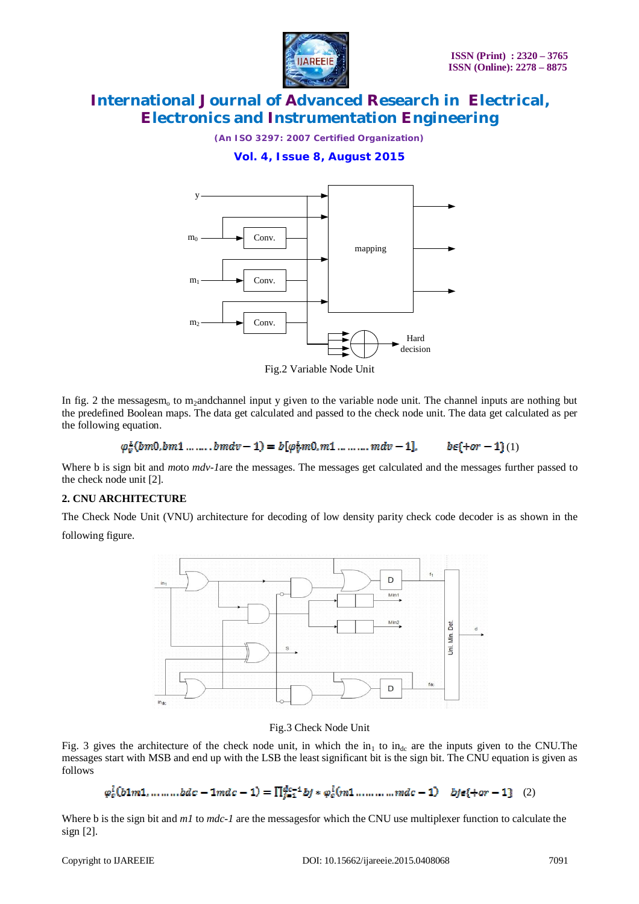

*(An ISO 3297: 2007 Certified Organization)*

**Vol. 4, Issue 8, August 2015**



Fig.2 Variable Node Unit

In fig. 2 the messagesm<sub>o</sub> to m<sub>2</sub>andchannel input y given to the variable node unit. The channel inputs are nothing but the predefined Boolean maps. The data get calculated and passed to the check node unit. The data get calculated as per the following equation.

#### $\varphi_v^L(bm0,bm1......bmdv-1) = b[\varphi_v^Lm0,m1......mdv-1],$  $b \epsilon$ {+or - 1)(1)

Where b is sign bit and *mo*to *mdv-1*are the messages. The messages get calculated and the messages further passed to the check node unit [2].

#### **2. CNU ARCHITECTURE**

The Check Node Unit (VNU) architecture for decoding of low density parity check code decoder is as shown in the following figure.



#### Fig.3 Check Node Unit

Fig. 3 gives the architecture of the check node unit, in which the in<sub>1</sub> to in<sub>dc</sub> are the inputs given to the CNU. The messages start with MSB and end up with the LSB the least significant bit is the sign bit. The CNU equation is given as follows

### $\varphi_c^1(b1m1, \dots, bdc - 1mdc - 1) = \prod_{i=1}^{dc-1} bj * \varphi_c^1(m1, \dots, mdc - 1)$   $bj\epsilon\{ + or - 1 \}$  (2)

Where b is the sign bit and *m1* to *mdc-1* are the messagesfor which the CNU use multiplexer function to calculate the sign [2].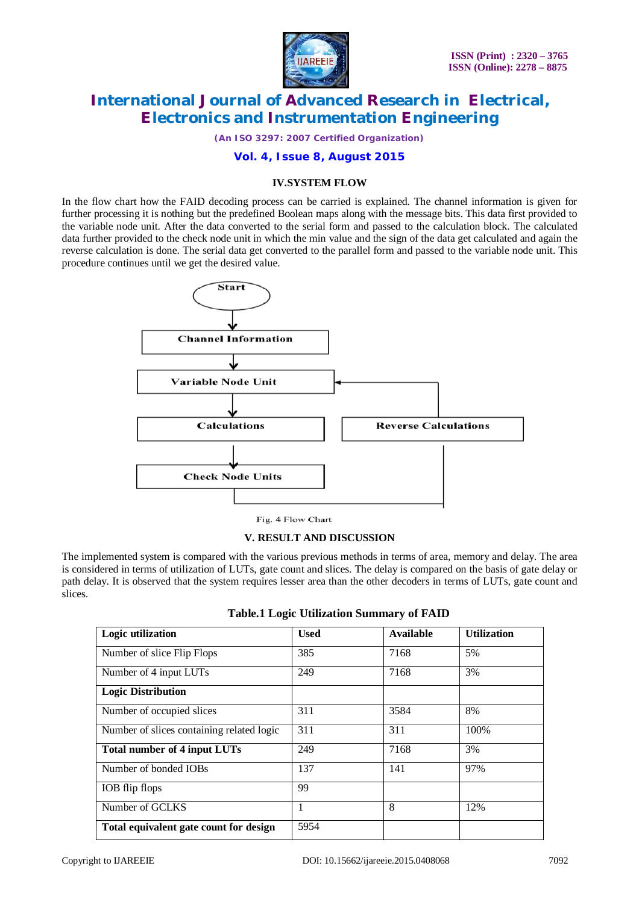

*(An ISO 3297: 2007 Certified Organization)*

#### **Vol. 4, Issue 8, August 2015**

#### **IV.SYSTEM FLOW**

In the flow chart how the FAID decoding process can be carried is explained. The channel information is given for further processing it is nothing but the predefined Boolean maps along with the message bits. This data first provided to the variable node unit. After the data converted to the serial form and passed to the calculation block. The calculated data further provided to the check node unit in which the min value and the sign of the data get calculated and again the reverse calculation is done. The serial data get converted to the parallel form and passed to the variable node unit. This procedure continues until we get the desired value.



Fig. 4 Flow Chart

#### **V. RESULT AND DISCUSSION**

The implemented system is compared with the various previous methods in terms of area, memory and delay. The area is considered in terms of utilization of LUTs, gate count and slices. The delay is compared on the basis of gate delay or path delay. It is observed that the system requires lesser area than the other decoders in terms of LUTs, gate count and slices.

| Logic utilization                         | <b>Used</b> | <b>Available</b> | <b>Utilization</b> |
|-------------------------------------------|-------------|------------------|--------------------|
| Number of slice Flip Flops                | 385         | 7168             | 5%                 |
| Number of 4 input LUTs                    | 249         | 7168             | 3%                 |
| <b>Logic Distribution</b>                 |             |                  |                    |
| Number of occupied slices                 | 311         | 3584             | 8%                 |
| Number of slices containing related logic | 311         | 311              | 100%               |
| <b>Total number of 4 input LUTs</b>       | 249         | 7168             | 3%                 |
| Number of bonded IOBs                     | 137         | 141              | 97%                |
| IOB flip flops                            | 99          |                  |                    |
| Number of GCLKS                           |             | 8                | 12%                |
| Total equivalent gate count for design    | 5954        |                  |                    |

| <b>Table.1 Logic Utilization Summary of FAID</b> |  |  |  |
|--------------------------------------------------|--|--|--|
|--------------------------------------------------|--|--|--|